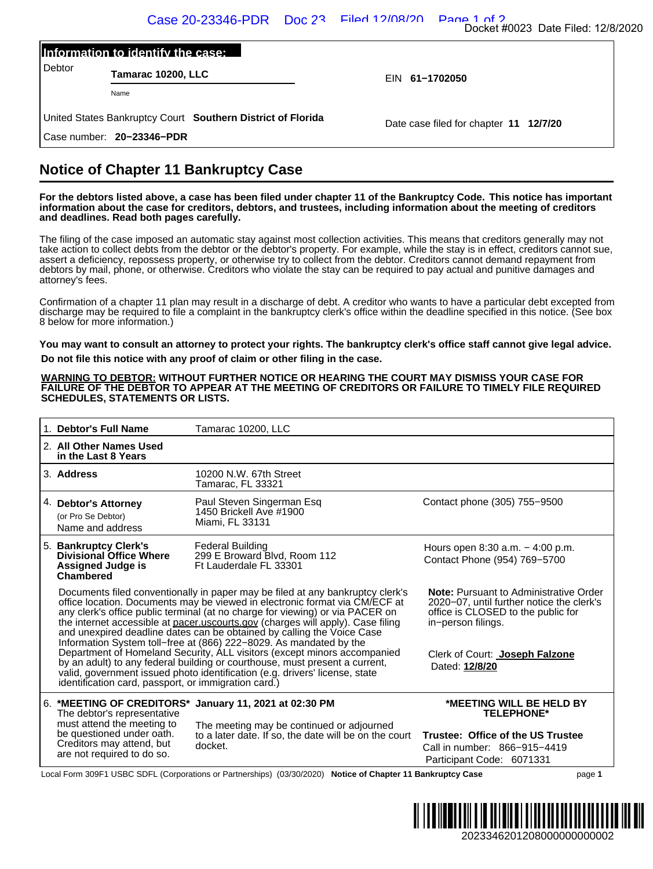|        | Information to identify the case:                           |                                        |  |
|--------|-------------------------------------------------------------|----------------------------------------|--|
| Debtor | Tamarac 10200, LLC                                          | EIN 61-1702050                         |  |
|        | Name                                                        |                                        |  |
|        | United States Bankruptcy Court Southern District of Florida | Date case filed for chapter 11 12/7/20 |  |

## **Notice of Chapter 11 Bankruptcy Case**

|                                                                | Information to identify the case:                                                                                  |                                                                                                                                                                                                                                                                                                                                                                                                                                                                                   |                                                                                                                                                                                                                                                                                                                                                                                                                                                                                                                                           |
|----------------------------------------------------------------|--------------------------------------------------------------------------------------------------------------------|-----------------------------------------------------------------------------------------------------------------------------------------------------------------------------------------------------------------------------------------------------------------------------------------------------------------------------------------------------------------------------------------------------------------------------------------------------------------------------------|-------------------------------------------------------------------------------------------------------------------------------------------------------------------------------------------------------------------------------------------------------------------------------------------------------------------------------------------------------------------------------------------------------------------------------------------------------------------------------------------------------------------------------------------|
| Debtor                                                         | Tamarac 10200, LLC                                                                                                 |                                                                                                                                                                                                                                                                                                                                                                                                                                                                                   | EIN 61-1702050                                                                                                                                                                                                                                                                                                                                                                                                                                                                                                                            |
|                                                                | Name                                                                                                               |                                                                                                                                                                                                                                                                                                                                                                                                                                                                                   |                                                                                                                                                                                                                                                                                                                                                                                                                                                                                                                                           |
|                                                                |                                                                                                                    | United States Bankruptcy Court Southern District of Florida                                                                                                                                                                                                                                                                                                                                                                                                                       | Date case filed for chapter 11 12/7/20                                                                                                                                                                                                                                                                                                                                                                                                                                                                                                    |
|                                                                | Case number: 20-23346-PDR                                                                                          |                                                                                                                                                                                                                                                                                                                                                                                                                                                                                   |                                                                                                                                                                                                                                                                                                                                                                                                                                                                                                                                           |
|                                                                |                                                                                                                    | <b>Notice of Chapter 11 Bankruptcy Case</b>                                                                                                                                                                                                                                                                                                                                                                                                                                       |                                                                                                                                                                                                                                                                                                                                                                                                                                                                                                                                           |
|                                                                | and deadlines. Read both pages carefully.                                                                          |                                                                                                                                                                                                                                                                                                                                                                                                                                                                                   | For the debtors listed above, a case has been filed under chapter 11 of the Bankruptcy Code. This notice has important<br>information about the case for creditors, debtors, and trustees, including information about the meeting of creditors                                                                                                                                                                                                                                                                                           |
| attorney's fees.                                               |                                                                                                                    |                                                                                                                                                                                                                                                                                                                                                                                                                                                                                   | The filing of the case imposed an automatic stay against most collection activities. This means that creditors generally may not<br>take action to collect debts from the debtor or the debtor's property. For example, while the stay is in effect, creditors cannot sue,<br>assert a deficiency, repossess property, or otherwise try to collect from the debtor. Creditors cannot demand repayment from<br>debtors by mail, phone, or otherwise. Creditors who violate the stay can be required to pay actual and punitive damages and |
|                                                                | 8 below for more information.)                                                                                     |                                                                                                                                                                                                                                                                                                                                                                                                                                                                                   | Confirmation of a chapter 11 plan may result in a discharge of debt. A creditor who wants to have a particular debt excepted from<br>discharge may be required to file a complaint in the bankruptcy clerk's office within the deadline specified in this notice. (See box                                                                                                                                                                                                                                                                |
|                                                                |                                                                                                                    |                                                                                                                                                                                                                                                                                                                                                                                                                                                                                   |                                                                                                                                                                                                                                                                                                                                                                                                                                                                                                                                           |
| 1. Debtor's Full Name                                          | <b>SCHEDULES, STATEMENTS OR LISTS.</b>                                                                             | <b>WARNING TO DEBTOR: WITHOUT FURTHER NOTICE OR HEARING THE COURT MAY DISMISS YOUR CASE FOR</b><br>Tamarac 10200, LLC                                                                                                                                                                                                                                                                                                                                                             | FAILURE OF THE DEBTOR TO APPEAR AT THE MEETING OF CREDITORS OR FAILURE TO TIMELY FILE REQUIRED                                                                                                                                                                                                                                                                                                                                                                                                                                            |
| in the Last 8 Years                                            | 2. All Other Names Used                                                                                            |                                                                                                                                                                                                                                                                                                                                                                                                                                                                                   |                                                                                                                                                                                                                                                                                                                                                                                                                                                                                                                                           |
| 3. Address                                                     |                                                                                                                    | 10200 N.W. 67th Street                                                                                                                                                                                                                                                                                                                                                                                                                                                            |                                                                                                                                                                                                                                                                                                                                                                                                                                                                                                                                           |
| 4. Debtor's Attorney<br>(or Pro Se Debtor)<br>Name and address |                                                                                                                    | Tamarac, FL 33321<br>Paul Steven Singerman Esq<br>1450 Brickell Ave #1900<br>Miami, FL 33131                                                                                                                                                                                                                                                                                                                                                                                      | Contact phone (305) 755-9500                                                                                                                                                                                                                                                                                                                                                                                                                                                                                                              |
| 5. Bankruptcy Clerk's<br><b>Assigned Judge is</b><br>Chambered | <b>Divisional Office Where</b>                                                                                     | <b>Federal Building</b><br>299 E Broward Blvd, Room 112<br>Ft Lauderdale FL 33301                                                                                                                                                                                                                                                                                                                                                                                                 | Hours open 8:30 a.m. - 4:00 p.m.<br>Contact Phone (954) 769-5700                                                                                                                                                                                                                                                                                                                                                                                                                                                                          |
|                                                                |                                                                                                                    | Documents filed conventionally in paper may be filed at any bankruptcy clerk's<br>office location. Documents may be viewed in electronic format via CM/ECF at<br>any clerk's office public terminal (at no charge for viewing) or via PACER on<br>the internet accessible at pacer uscourts gov (charges will apply). Case filing<br>and unexpired deadline dates can be obtained by calling the Voice Case<br>Information System toll-free at (866) 222-8029. As mandated by the | <b>Note:</b> Pursuant to Administrative Order<br>2020-07, until further notice the clerk's<br>office is CLOSED to the public for<br>in-person filings.                                                                                                                                                                                                                                                                                                                                                                                    |
|                                                                |                                                                                                                    | Department of Homeland Security, ALL visitors (except minors accompanied<br>by an adult) to any federal building or courthouse, must present a current,<br>valid, government issued photo identification (e.g. drivers' license, state<br>identification card, passport, or immigration card.)                                                                                                                                                                                    | Clerk of Court: Joseph Falzone<br>Dated: 12/8/20                                                                                                                                                                                                                                                                                                                                                                                                                                                                                          |
|                                                                | The debtor's representative                                                                                        | 6. *MEETING OF CREDITORS* January 11, 2021 at 02:30 PM                                                                                                                                                                                                                                                                                                                                                                                                                            | *MEETING WILL BE HELD BY<br><b>TELEPHONE*</b>                                                                                                                                                                                                                                                                                                                                                                                                                                                                                             |
|                                                                | must attend the meeting to<br>be questioned under oath.<br>Creditors may attend, but<br>are not required to do so. | The meeting may be continued or adjourned<br>to a later date. If so, the date will be on the court<br>docket.                                                                                                                                                                                                                                                                                                                                                                     | Trustee: Office of the US Trustee<br>Call in number: 866-915-4419<br>Participant Code: 6071331                                                                                                                                                                                                                                                                                                                                                                                                                                            |